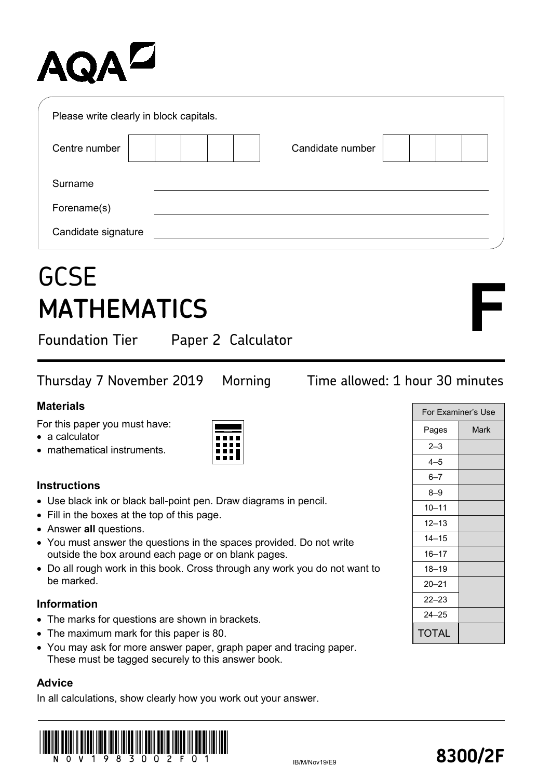# AQA<sup>D</sup>

| Please write clearly in block capitals. |                  |  |
|-----------------------------------------|------------------|--|
| Centre number                           | Candidate number |  |
| Surname                                 |                  |  |
| Forename(s)                             |                  |  |
| Candidate signature                     |                  |  |

## **GCSE MATHEMATICS**

Foundation Tier Paper 2 Calculator

Thursday 7 November 2019 Morning Time allowed: 1 hour 30 minutes

### **Materials**

For this paper you must have:

- a calculator
- mathematical instruments.

### **Instructions**

- Use black ink or black ball-point pen. Draw diagrams in pencil.
- Fill in the boxes at the top of this page.
- Answer **all** questions.
- You must answer the questions in the spaces provided. Do not write outside the box around each page or on blank pages.
- Do all rough work in this book. Cross through any work you do not want to be marked.

### **Information**

- The marks for questions are shown in brackets.
- The maximum mark for this paper is 80.
- You may ask for more answer paper, graph paper and tracing paper. These must be tagged securely to this answer book.

### **Advice**

In all calculations, show clearly how you work out your answer.



| For Examiner's Use |      |  |
|--------------------|------|--|
| Pages              | Mark |  |
| $2 - 3$            |      |  |
| $4 - 5$            |      |  |
| $6 - 7$            |      |  |
| $8 - 9$            |      |  |
| $10 - 11$          |      |  |
| $12 - 13$          |      |  |
| $14 - 15$          |      |  |
| $16 - 17$          |      |  |
| $18 - 19$          |      |  |
| $20 - 21$          |      |  |
| $22 - 23$          |      |  |
| $24 - 25$          |      |  |
| TOTAL              |      |  |

**F**

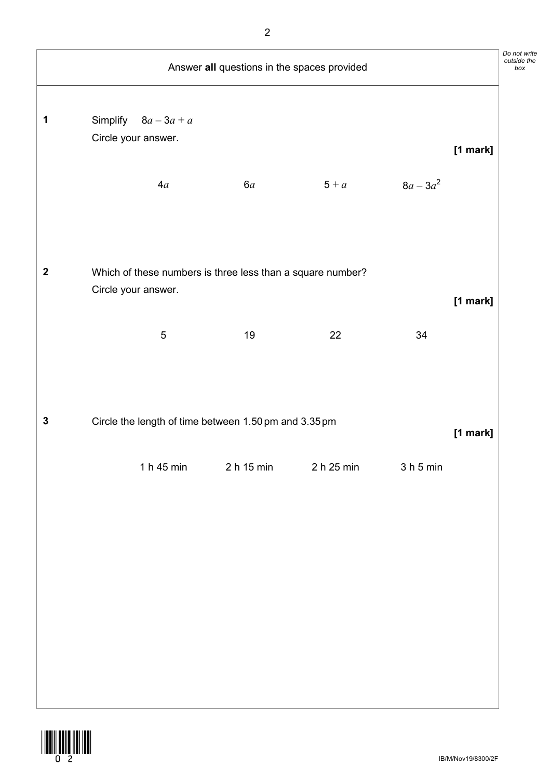|                | Answer all questions in the spaces provided                       |            |            |                                 |          |  |
|----------------|-------------------------------------------------------------------|------------|------------|---------------------------------|----------|--|
| 1              | Simplify $8a-3a+a$<br>Circle your answer.<br>4a                   | 6a         | $5 + a$    | $8a - 3a^2$                     | [1 mark] |  |
| $\overline{2}$ | Which of these numbers is three less than a square number?        |            |            |                                 |          |  |
|                | Circle your answer.<br>$\sqrt{5}$                                 | 19         | 22         | 34                              | [1 mark] |  |
| ${\bf 3}$      | Circle the length of time between 1.50 pm and 3.35 pm<br>[1 mark] |            |            |                                 |          |  |
|                | 1 h 45 min                                                        | 2 h 15 min | 2 h 25 min | 3 <sub>h</sub> 5 <sub>min</sub> |          |  |
|                |                                                                   |            |            |                                 |          |  |
|                |                                                                   |            |            |                                 |          |  |

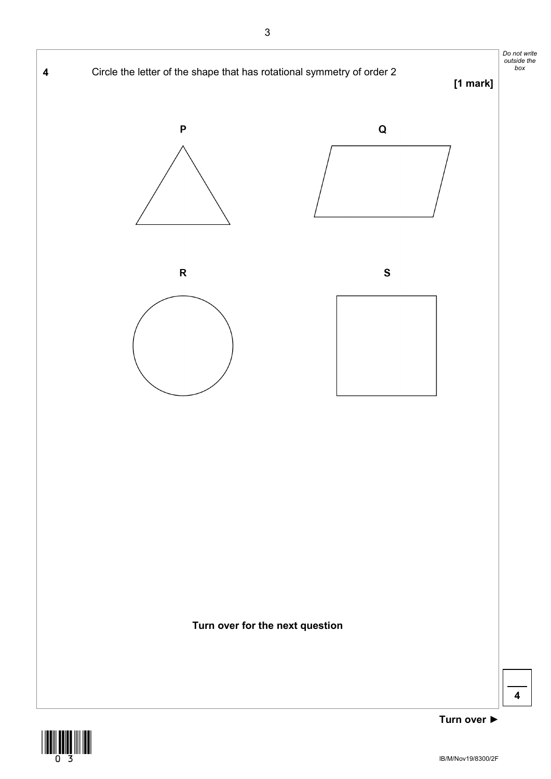

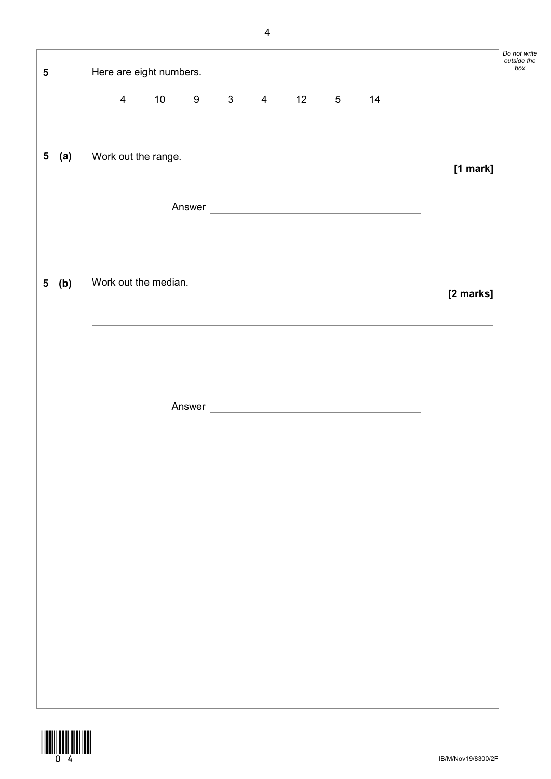| ${\bf 5}$ |         |                | Here are eight numbers.   |  |             |    |                 |                                                                                                                      |                                                                                                                                                               | וטוו טע<br>outside<br>bo> |
|-----------|---------|----------------|---------------------------|--|-------------|----|-----------------|----------------------------------------------------------------------------------------------------------------------|---------------------------------------------------------------------------------------------------------------------------------------------------------------|---------------------------|
|           |         | $\overline{4}$ | 10                        |  | $9 \t3 \t4$ | 12 | $5\overline{)}$ | 14                                                                                                                   |                                                                                                                                                               |                           |
|           |         |                | 5 (a) Work out the range. |  |             |    |                 |                                                                                                                      | [1 mark]                                                                                                                                                      |                           |
|           |         |                |                           |  |             |    |                 | Answer                                                                                                               |                                                                                                                                                               |                           |
|           | $5$ (b) |                | Work out the median.      |  |             |    |                 |                                                                                                                      |                                                                                                                                                               |                           |
|           |         |                |                           |  |             |    |                 |                                                                                                                      | [2 marks]<br>,我们也不能在这里的时候,我们也不能在这里的时候,我们也不能会在这里的时候,我们也不能会在这里的时候,我们也不能会在这里的时候,我们也不能会在这里的时候,我们也不<br><u> 1989 - Johann Stoff, amerikansk politiker (d. 1989)</u> |                           |
|           |         |                |                           |  |             |    |                 | <u> 1989 - Andrea Santa Andrea Andrea Andrea Andrea Andrea Andrea Andrea Andrea Andrea Andrea Andrea Andrea Andr</u> |                                                                                                                                                               |                           |
|           |         |                |                           |  |             |    |                 |                                                                                                                      |                                                                                                                                                               |                           |
|           |         |                |                           |  |             |    |                 |                                                                                                                      |                                                                                                                                                               |                           |
|           |         |                |                           |  |             |    |                 |                                                                                                                      |                                                                                                                                                               |                           |
|           |         |                |                           |  |             |    |                 |                                                                                                                      |                                                                                                                                                               |                           |
|           |         |                |                           |  |             |    |                 |                                                                                                                      |                                                                                                                                                               |                           |
|           |         |                |                           |  |             |    |                 |                                                                                                                      |                                                                                                                                                               |                           |



IB/M/Nov19/8300/2F

*Do not write outside the*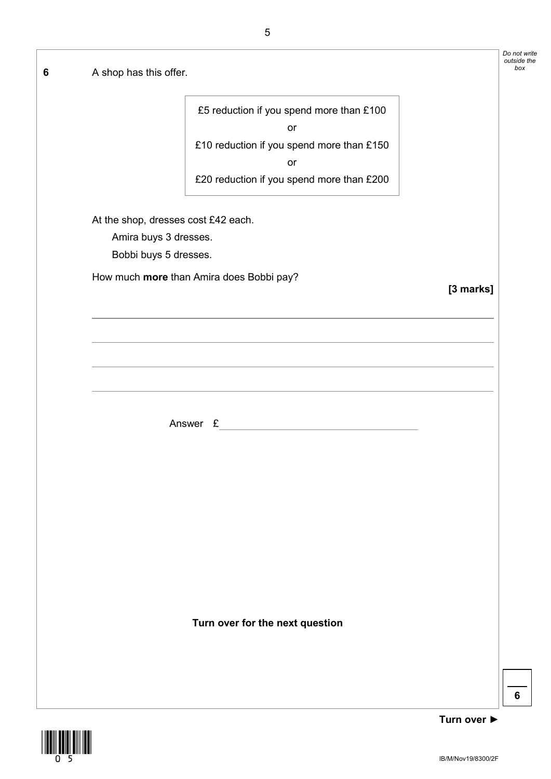| A shop has this offer.              |                                                |           | Do not write<br>outside the |
|-------------------------------------|------------------------------------------------|-----------|-----------------------------|
|                                     | £5 reduction if you spend more than £100<br>or |           |                             |
|                                     | £10 reduction if you spend more than £150      |           |                             |
|                                     | or                                             |           |                             |
|                                     | £20 reduction if you spend more than £200      |           |                             |
| At the shop, dresses cost £42 each. |                                                |           |                             |
| Amira buys 3 dresses.               |                                                |           |                             |
| Bobbi buys 5 dresses.               |                                                |           |                             |
|                                     | How much more than Amira does Bobbi pay?       | [3 marks] |                             |
|                                     |                                                |           |                             |
|                                     |                                                |           |                             |
|                                     |                                                |           |                             |
|                                     | Answer £                                       |           |                             |
|                                     |                                                |           |                             |
|                                     |                                                |           |                             |
|                                     |                                                |           |                             |
|                                     |                                                |           |                             |
|                                     |                                                |           |                             |
|                                     |                                                |           |                             |
|                                     | Turn over for the next question                |           |                             |
|                                     |                                                |           |                             |
|                                     |                                                |           |                             |
|                                     |                                                |           |                             |

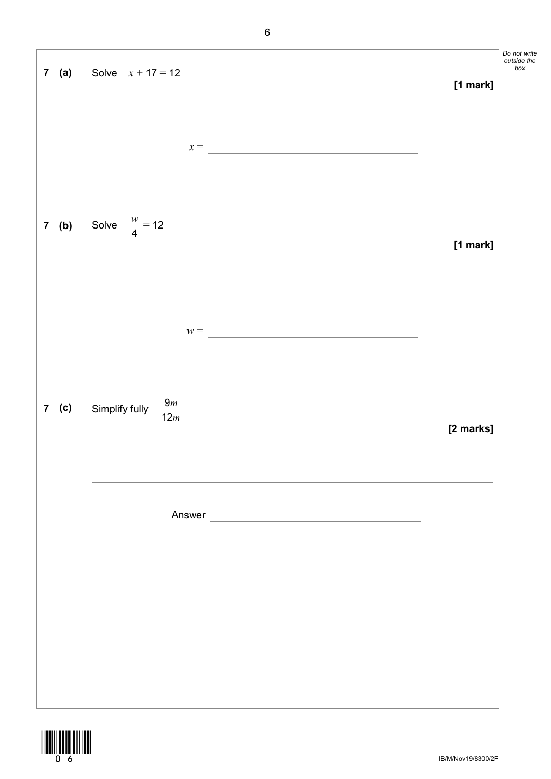|         | <b>7</b> (a) Solve $x + 17 = 12$      | [1 mark]  | Do not write<br>outside the<br>$box$ |
|---------|---------------------------------------|-----------|--------------------------------------|
|         | $x =$                                 |           |                                      |
|         | <b>7</b> (b) Solve $\frac{w}{4} = 12$ | [1 mark]  |                                      |
|         | $w =$                                 |           |                                      |
|         |                                       |           |                                      |
| $7$ (c) | $\frac{9m}{12m}$<br>Simplify fully    | [2 marks] |                                      |
|         | Answer                                |           |                                      |
|         |                                       |           |                                      |
|         |                                       |           |                                      |
|         |                                       |           |                                      |



IB/M/Nov19/8300/2F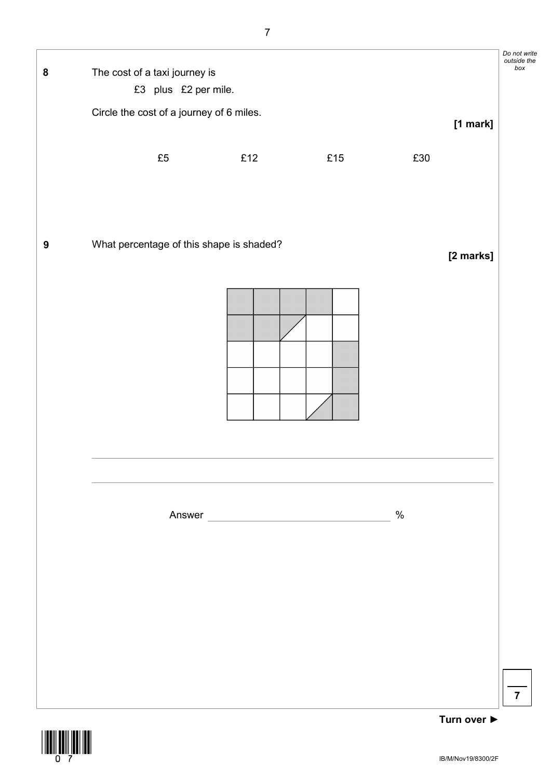

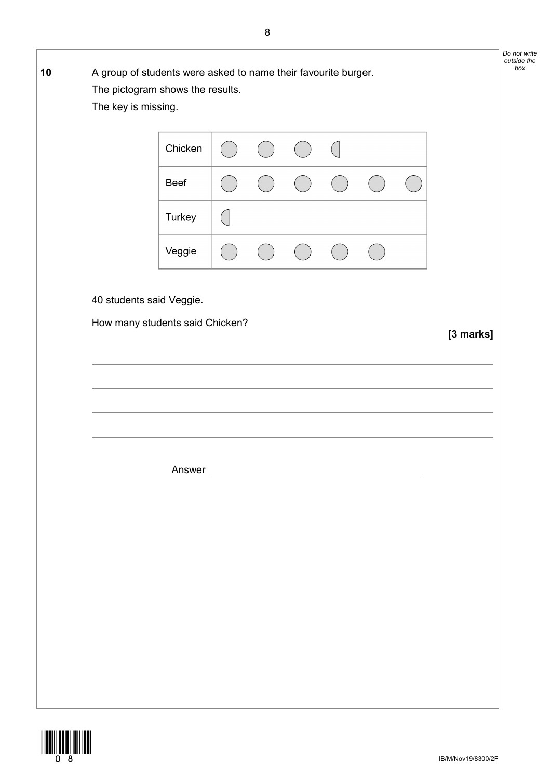| Chicken                         |  | $\overline{(\phantom{a})}$ |  |           |
|---------------------------------|--|----------------------------|--|-----------|
| Beef                            |  |                            |  |           |
| Turkey                          |  |                            |  |           |
| Veggie                          |  |                            |  |           |
| 40 students said Veggie.        |  |                            |  |           |
| How many students said Chicken? |  |                            |  | [3 marks] |
|                                 |  |                            |  |           |
|                                 |  |                            |  |           |
|                                 |  |                            |  |           |
| Answer                          |  |                            |  |           |
|                                 |  |                            |  |           |
|                                 |  |                            |  |           |
|                                 |  |                            |  |           |
|                                 |  |                            |  |           |
|                                 |  |                            |  |           |
|                                 |  |                            |  |           |

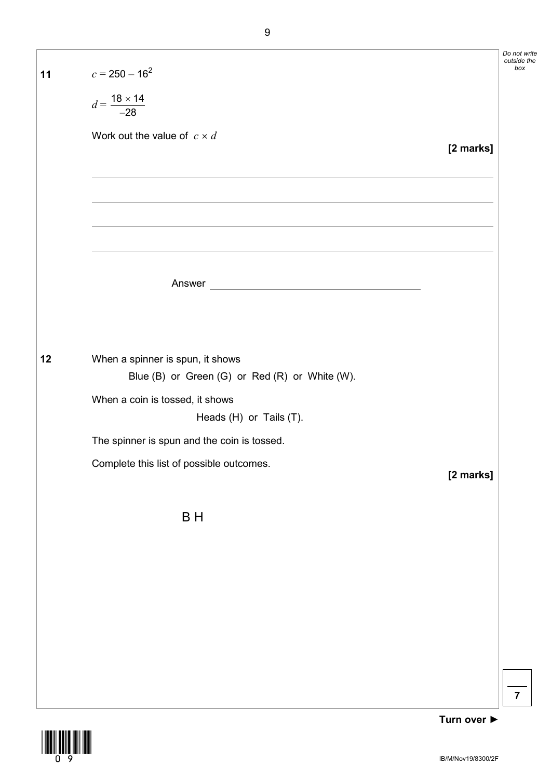| 11 | $c = 250 - 16^2$                                                                                                   |           |
|----|--------------------------------------------------------------------------------------------------------------------|-----------|
|    | $d = \frac{18 \times 14}{-28}$                                                                                     |           |
|    | Work out the value of $c \times d$                                                                                 | [2 marks] |
|    | <u> 1989 - Johann Stoff, amerikansk politiker (* 1908)</u>                                                         |           |
|    | <u> 1989 - Johann Stoff, amerikansk politiker (* 1908)</u><br><u> 1989 - Johann Barn, fransk politik (d. 1989)</u> |           |
|    |                                                                                                                    |           |
|    |                                                                                                                    |           |
| 12 | When a spinner is spun, it shows<br>Blue (B) or Green (G) or Red (R) or White (W).                                 |           |
|    | When a coin is tossed, it shows<br>Heads (H) or Tails (T).                                                         |           |
|    | The spinner is spun and the coin is tossed.                                                                        |           |
|    | Complete this list of possible outcomes.                                                                           | [2 marks] |
|    | B H                                                                                                                |           |
|    |                                                                                                                    |           |
|    |                                                                                                                    |           |
|    |                                                                                                                    |           |
|    |                                                                                                                    |           |



**7**

*Do not write outside the box*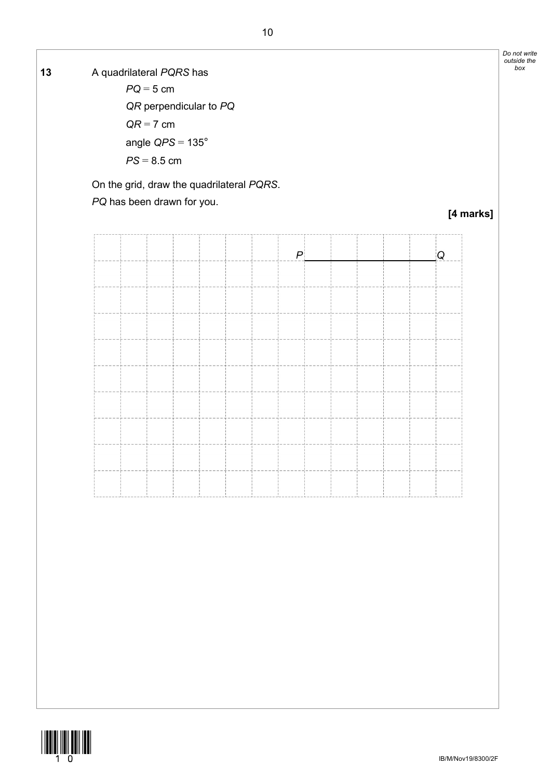*box* **13** A quadrilateral *PQRS* has

 *PQ* = 5 cm *QR* perpendicular to *PQ QR* = 7 cm angle *QPS* = 135°  $PS = 8.5$  cm

On the grid, draw the quadrilateral *PQRS*.

*PQ* has been drawn for you.





*Do not write outside the*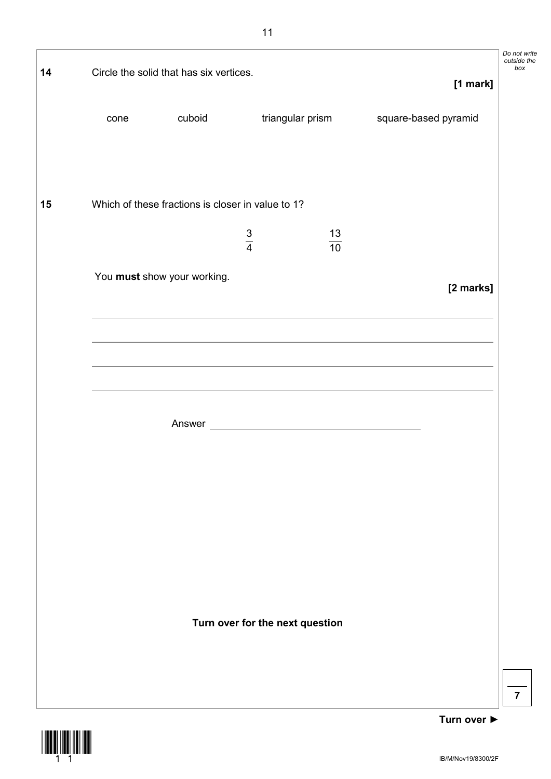| 14 |      | Circle the solid that has six vertices.           |               |                                 |                      | Do not write<br>outside the<br>box |
|----|------|---------------------------------------------------|---------------|---------------------------------|----------------------|------------------------------------|
|    |      |                                                   |               |                                 | [1 mark]             |                                    |
|    | cone | cuboid                                            |               | triangular prism                | square-based pyramid |                                    |
| 15 |      | Which of these fractions is closer in value to 1? |               |                                 |                      |                                    |
|    |      |                                                   | $\frac{3}{4}$ | $\frac{13}{10}$                 |                      |                                    |
|    |      | You must show your working.                       |               |                                 | [2 marks]            |                                    |
|    |      |                                                   |               |                                 |                      |                                    |
|    |      |                                                   |               |                                 |                      |                                    |
|    |      |                                                   |               |                                 |                      |                                    |
|    |      |                                                   |               |                                 |                      |                                    |
|    |      |                                                   |               |                                 |                      |                                    |
|    |      |                                                   |               |                                 |                      |                                    |
|    |      |                                                   |               | Turn over for the next question |                      |                                    |
|    |      |                                                   |               |                                 |                      | $\overline{7}$                     |

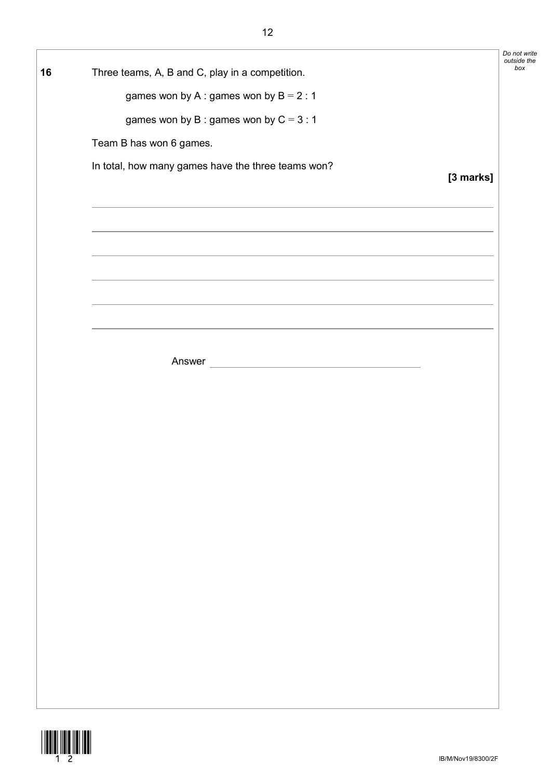|    |                                                                                                                                                                                                                               | Do not write<br>outside the |
|----|-------------------------------------------------------------------------------------------------------------------------------------------------------------------------------------------------------------------------------|-----------------------------|
| 16 | Three teams, A, B and C, play in a competition.                                                                                                                                                                               |                             |
|    | games won by A : games won by $B = 2 : 1$                                                                                                                                                                                     |                             |
|    | games won by B: games won by $C = 3:1$                                                                                                                                                                                        |                             |
|    | Team B has won 6 games.                                                                                                                                                                                                       |                             |
|    | In total, how many games have the three teams won?                                                                                                                                                                            | [3 marks]                   |
|    |                                                                                                                                                                                                                               |                             |
|    |                                                                                                                                                                                                                               |                             |
|    |                                                                                                                                                                                                                               |                             |
|    |                                                                                                                                                                                                                               |                             |
|    |                                                                                                                                                                                                                               |                             |
|    | the control of the control of the control of the control of the control of the control of the control of the control of the control of the control of the control of the control of the control of the control of the control |                             |
|    |                                                                                                                                                                                                                               |                             |
|    |                                                                                                                                                                                                                               |                             |
|    |                                                                                                                                                                                                                               |                             |
|    |                                                                                                                                                                                                                               |                             |
|    |                                                                                                                                                                                                                               |                             |
|    |                                                                                                                                                                                                                               |                             |
|    |                                                                                                                                                                                                                               |                             |
|    |                                                                                                                                                                                                                               |                             |
|    |                                                                                                                                                                                                                               |                             |
|    |                                                                                                                                                                                                                               |                             |
|    |                                                                                                                                                                                                                               |                             |
|    |                                                                                                                                                                                                                               |                             |
|    |                                                                                                                                                                                                                               |                             |
|    |                                                                                                                                                                                                                               |                             |
|    |                                                                                                                                                                                                                               |                             |
|    |                                                                                                                                                                                                                               |                             |
|    |                                                                                                                                                                                                                               |                             |
|    |                                                                                                                                                                                                                               |                             |

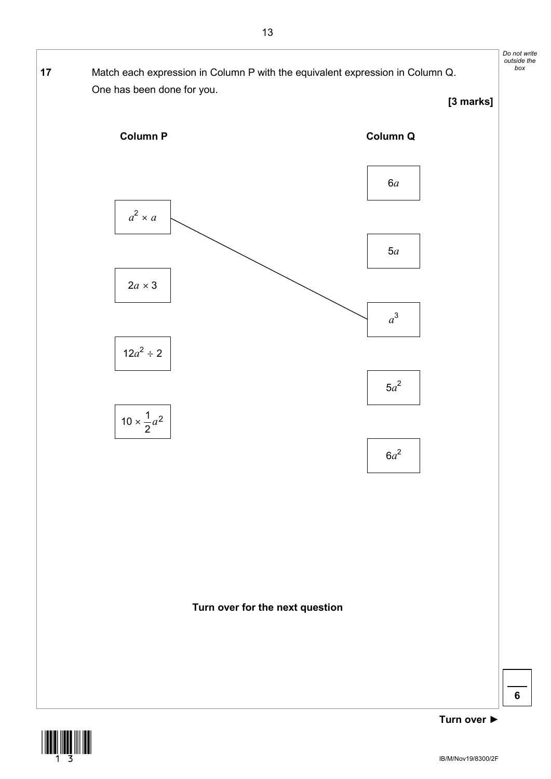

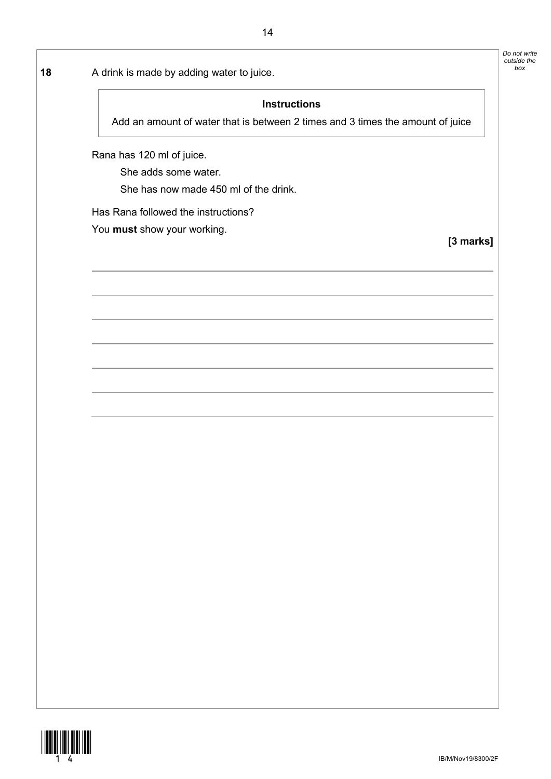**18** A drink is made by adding water to juice.

#### **Instructions**

Add an amount of water that is between 2 times and 3 times the amount of juice

Rana has 120 ml of juice.

She adds some water.

She has now made 450 ml of the drink.

Has Rana followed the instructions?

You **must** show your working.

**[3 marks]**

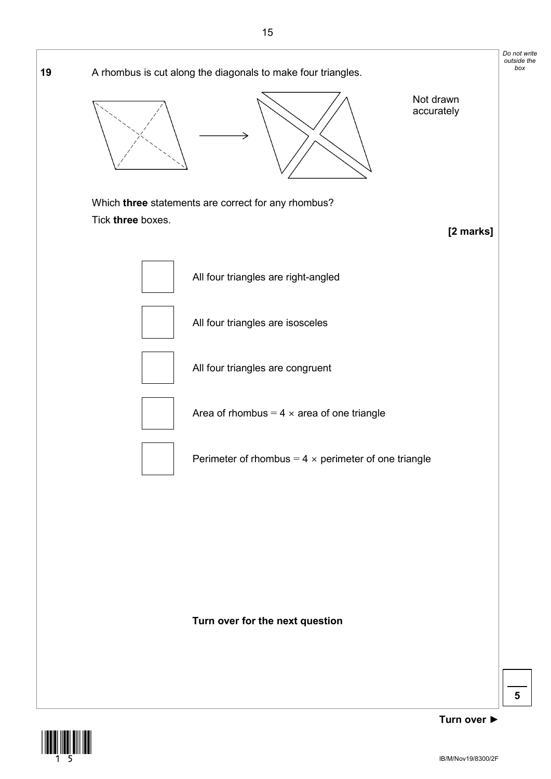



**Turn over ►**

**5**

*Do not write outside the*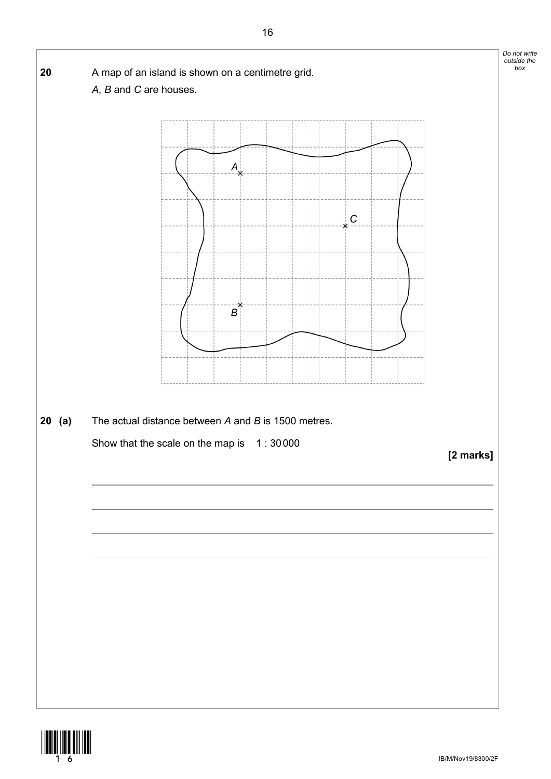

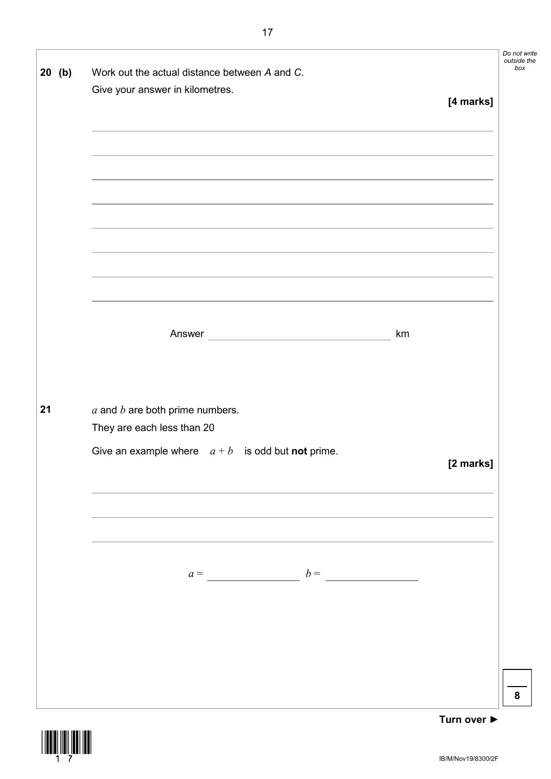|    | $20$ (b) | Work out the actual distance between A and C.              | Do not write<br>outside the<br>box |
|----|----------|------------------------------------------------------------|------------------------------------|
|    |          | Give your answer in kilometres.                            |                                    |
|    |          | [4 marks]                                                  |                                    |
|    |          |                                                            |                                    |
|    |          |                                                            |                                    |
|    |          |                                                            |                                    |
|    |          |                                                            |                                    |
|    |          |                                                            |                                    |
|    |          |                                                            |                                    |
|    |          |                                                            |                                    |
|    |          |                                                            |                                    |
|    |          |                                                            |                                    |
|    |          |                                                            |                                    |
|    |          |                                                            |                                    |
|    |          | km                                                         |                                    |
|    |          |                                                            |                                    |
|    |          |                                                            |                                    |
| 21 |          | $a$ and $b$ are both prime numbers.                        |                                    |
|    |          | They are each less than 20                                 |                                    |
|    |          | Give an example where $a + b$ is odd but <b>not</b> prime. |                                    |
|    |          | [2 marks]                                                  |                                    |
|    |          |                                                            |                                    |
|    |          |                                                            |                                    |
|    |          |                                                            |                                    |
|    |          |                                                            |                                    |
|    |          |                                                            |                                    |
|    |          |                                                            |                                    |
|    |          |                                                            |                                    |
|    |          |                                                            |                                    |
|    |          |                                                            |                                    |
|    |          |                                                            |                                    |
|    |          |                                                            |                                    |
|    |          |                                                            | 8                                  |
|    |          | Turn over $\blacktriangleright$                            |                                    |

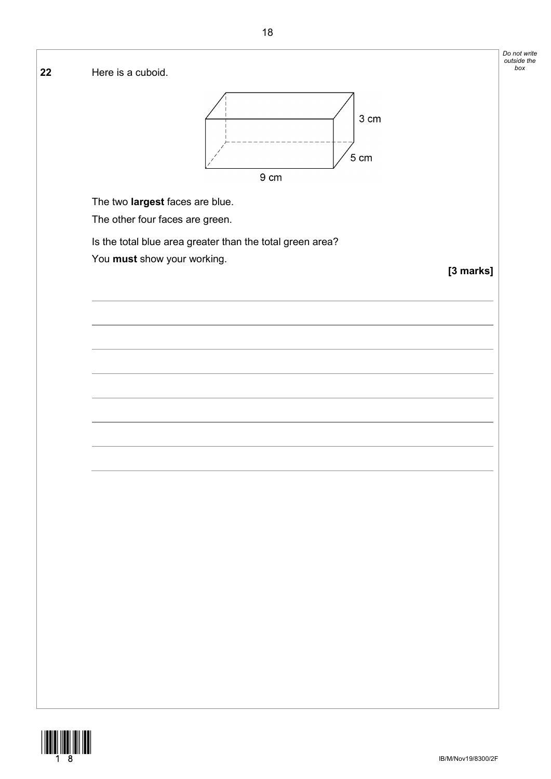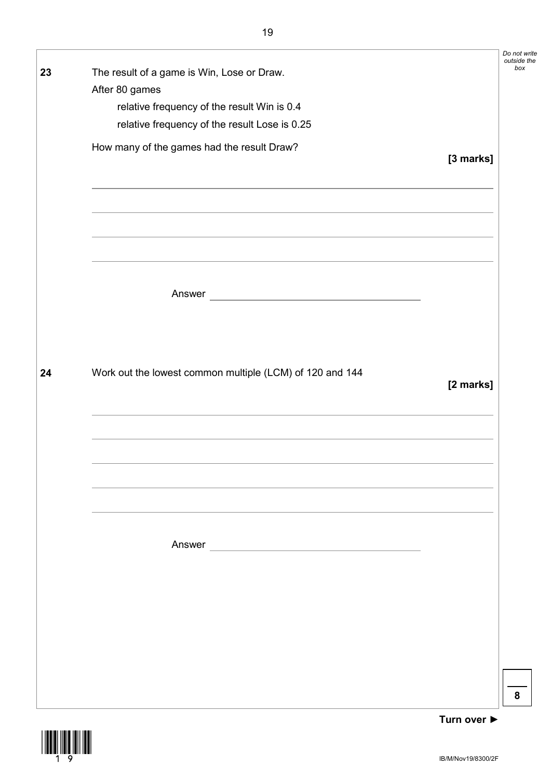|    |                                                             |           | Do not write<br>outside the |
|----|-------------------------------------------------------------|-----------|-----------------------------|
| 23 | The result of a game is Win, Lose or Draw.                  |           | box                         |
|    | After 80 games                                              |           |                             |
|    | relative frequency of the result Win is 0.4                 |           |                             |
|    | relative frequency of the result Lose is 0.25               |           |                             |
|    |                                                             |           |                             |
|    | How many of the games had the result Draw?                  | [3 marks] |                             |
|    |                                                             |           |                             |
|    |                                                             |           |                             |
|    |                                                             |           |                             |
|    |                                                             |           |                             |
|    |                                                             |           |                             |
|    |                                                             |           |                             |
|    |                                                             |           |                             |
|    | Answer<br><u> 1980 - Johann Barbara, martxa alemaniar a</u> |           |                             |
|    |                                                             |           |                             |
|    |                                                             |           |                             |
|    |                                                             |           |                             |
|    |                                                             |           |                             |
| 24 | Work out the lowest common multiple (LCM) of 120 and 144    |           |                             |
|    |                                                             | [2 marks] |                             |
|    |                                                             |           |                             |
|    |                                                             |           |                             |
|    |                                                             |           |                             |
|    |                                                             |           |                             |
|    |                                                             |           |                             |
|    |                                                             |           |                             |
|    |                                                             |           |                             |
|    |                                                             |           |                             |
|    |                                                             |           |                             |
|    |                                                             |           |                             |
|    |                                                             |           |                             |
|    |                                                             |           |                             |
|    |                                                             |           |                             |
|    |                                                             |           |                             |
|    |                                                             |           |                             |
|    |                                                             |           |                             |
|    |                                                             |           |                             |
|    |                                                             |           | 8                           |
|    |                                                             |           |                             |

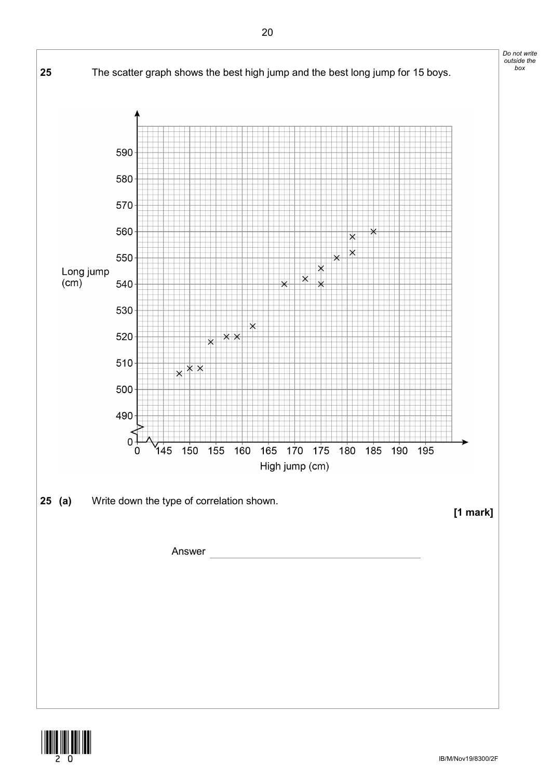

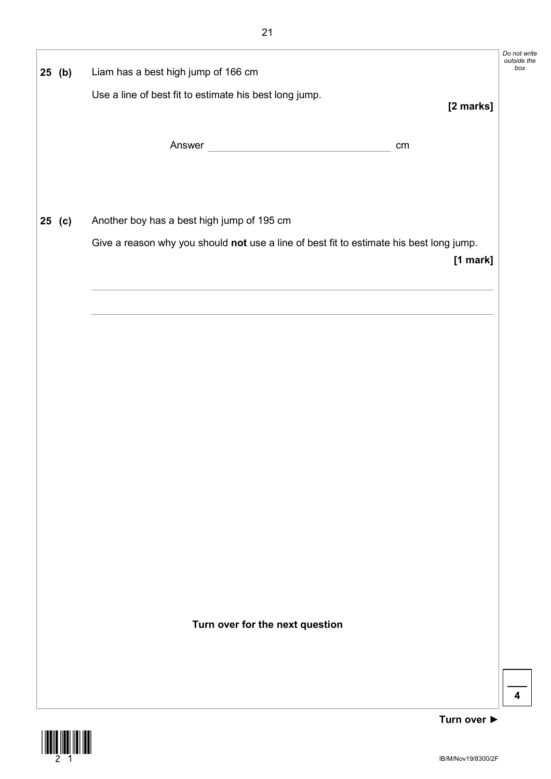| $25$ (b)                        | Liam has a best high jump of 166 cm                    |                                                                                         | Do not write<br>outside the<br>box |
|---------------------------------|--------------------------------------------------------|-----------------------------------------------------------------------------------------|------------------------------------|
|                                 | Use a line of best fit to estimate his best long jump. |                                                                                         |                                    |
|                                 |                                                        |                                                                                         | [2 marks]                          |
|                                 |                                                        | cm                                                                                      |                                    |
|                                 |                                                        |                                                                                         |                                    |
|                                 |                                                        |                                                                                         |                                    |
| $25$ (c)                        | Another boy has a best high jump of 195 cm             |                                                                                         |                                    |
|                                 |                                                        | Give a reason why you should not use a line of best fit to estimate his best long jump. |                                    |
|                                 |                                                        |                                                                                         | [1 mark]                           |
|                                 |                                                        |                                                                                         |                                    |
|                                 |                                                        |                                                                                         |                                    |
|                                 |                                                        |                                                                                         |                                    |
|                                 |                                                        |                                                                                         |                                    |
|                                 |                                                        |                                                                                         |                                    |
|                                 |                                                        |                                                                                         |                                    |
|                                 |                                                        |                                                                                         |                                    |
|                                 |                                                        |                                                                                         |                                    |
|                                 |                                                        |                                                                                         |                                    |
|                                 |                                                        |                                                                                         |                                    |
|                                 |                                                        |                                                                                         |                                    |
|                                 |                                                        |                                                                                         |                                    |
|                                 |                                                        |                                                                                         |                                    |
|                                 |                                                        |                                                                                         |                                    |
| Turn over for the next question |                                                        |                                                                                         |                                    |
|                                 |                                                        |                                                                                         |                                    |
|                                 |                                                        |                                                                                         |                                    |
|                                 |                                                        |                                                                                         |                                    |

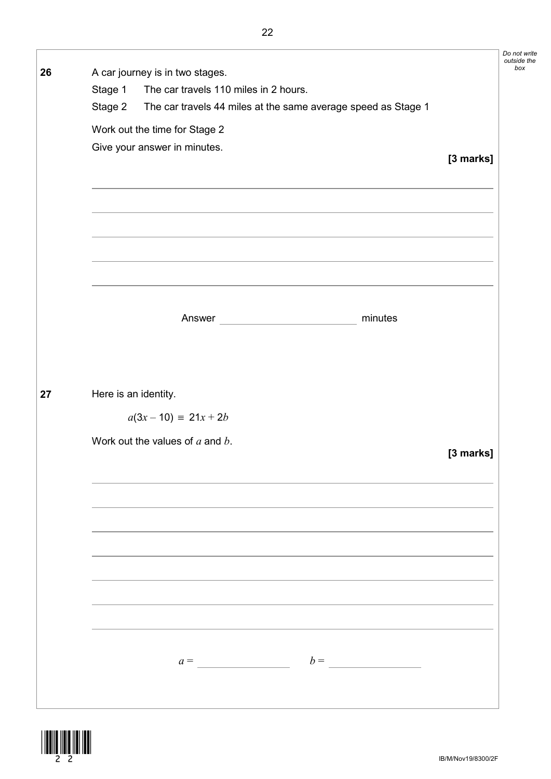*outside the*  **26** A car journey is in two stages. Stage 1 The car travels 110 miles in 2 hours. Stage 2 The car travels 44 miles at the same average speed as Stage 1 Work out the time for Stage 2 Give your answer in minutes. **[3 marks]** Answer minutes **27** Here is an identity.  $a(3x - 10) \equiv 21x + 2b$ Work out the values of *a* and *b*. **[3 marks]**

 $a = b =$ 



*Do not write*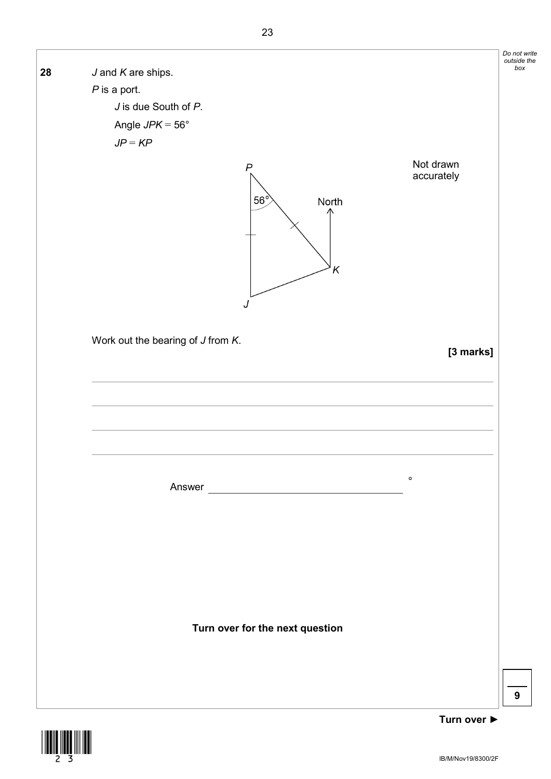

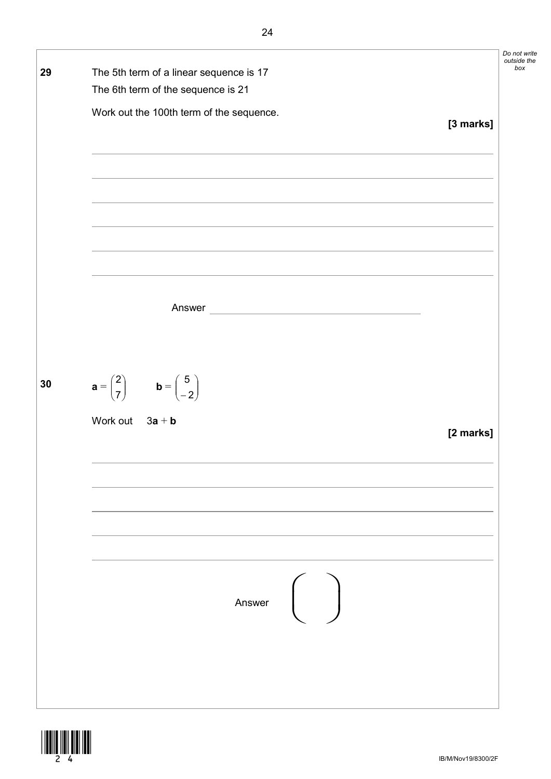

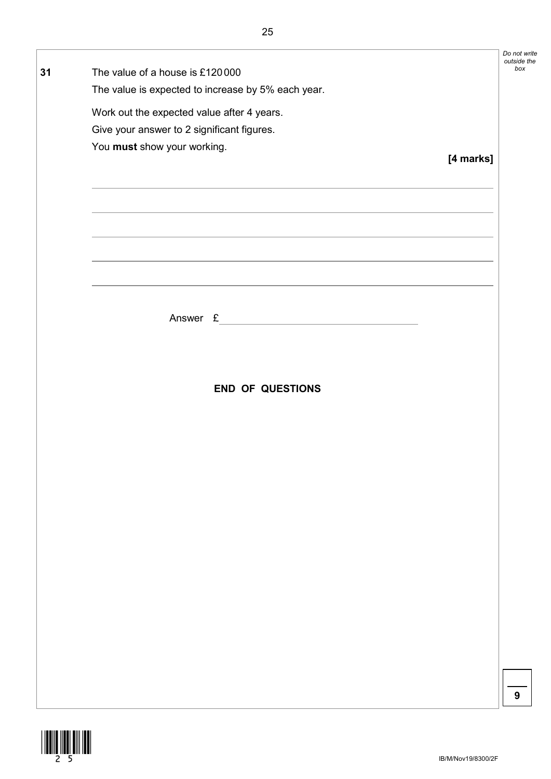|    |                                                                                  |           | Do not write<br>outside the |
|----|----------------------------------------------------------------------------------|-----------|-----------------------------|
| 31 | The value of a house is £120000                                                  |           | box                         |
|    | The value is expected to increase by 5% each year.                               |           |                             |
|    | Work out the expected value after 4 years.                                       |           |                             |
|    | Give your answer to 2 significant figures.                                       |           |                             |
|    | You must show your working.                                                      |           |                             |
|    |                                                                                  | [4 marks] |                             |
|    |                                                                                  |           |                             |
|    |                                                                                  |           |                             |
|    | ,我们也不能在这里的时候,我们也不能在这里的时候,我们也不能会在这里的时候,我们也不能会在这里的时候,我们也不能会在这里的时候,我们也不能会在这里的时候,我们也 |           |                             |
|    | <u> 1989 - Johann Stoff, amerikansk politiker (* 1908)</u>                       |           |                             |
|    |                                                                                  |           |                             |
|    |                                                                                  |           |                             |
|    |                                                                                  |           |                             |
|    |                                                                                  |           |                             |
|    |                                                                                  |           |                             |
|    |                                                                                  |           |                             |
|    |                                                                                  |           |                             |
|    |                                                                                  |           |                             |
|    | <b>END OF QUESTIONS</b>                                                          |           |                             |
|    |                                                                                  |           |                             |
|    |                                                                                  |           |                             |
|    |                                                                                  |           |                             |
|    |                                                                                  |           |                             |
|    |                                                                                  |           |                             |
|    |                                                                                  |           |                             |
|    |                                                                                  |           |                             |
|    |                                                                                  |           |                             |
|    |                                                                                  |           |                             |
|    |                                                                                  |           |                             |
|    |                                                                                  |           |                             |
|    |                                                                                  |           |                             |
|    |                                                                                  |           |                             |
|    |                                                                                  |           |                             |
|    |                                                                                  |           |                             |
|    |                                                                                  |           |                             |
|    |                                                                                  |           | 9                           |
|    |                                                                                  |           |                             |
|    |                                                                                  |           |                             |

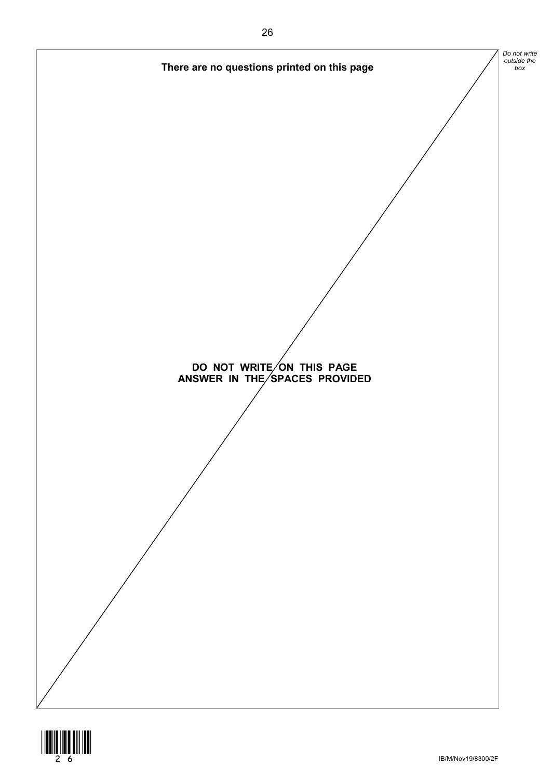



IB/M/Nov19/8300/2F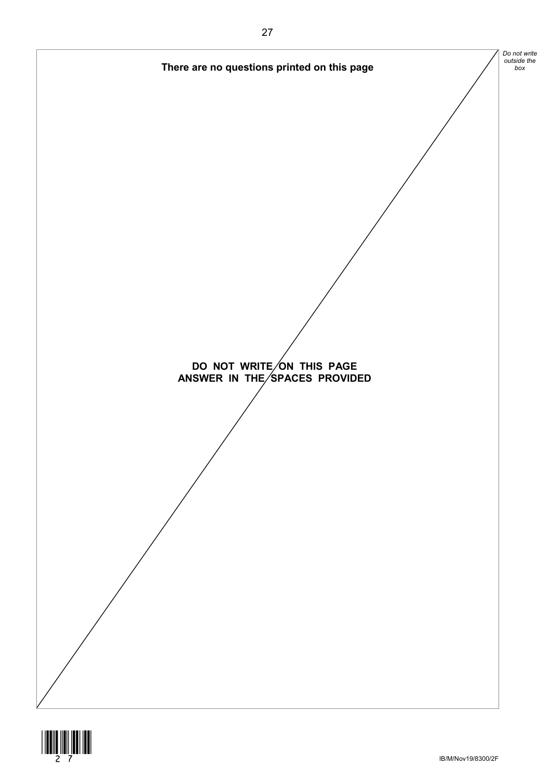